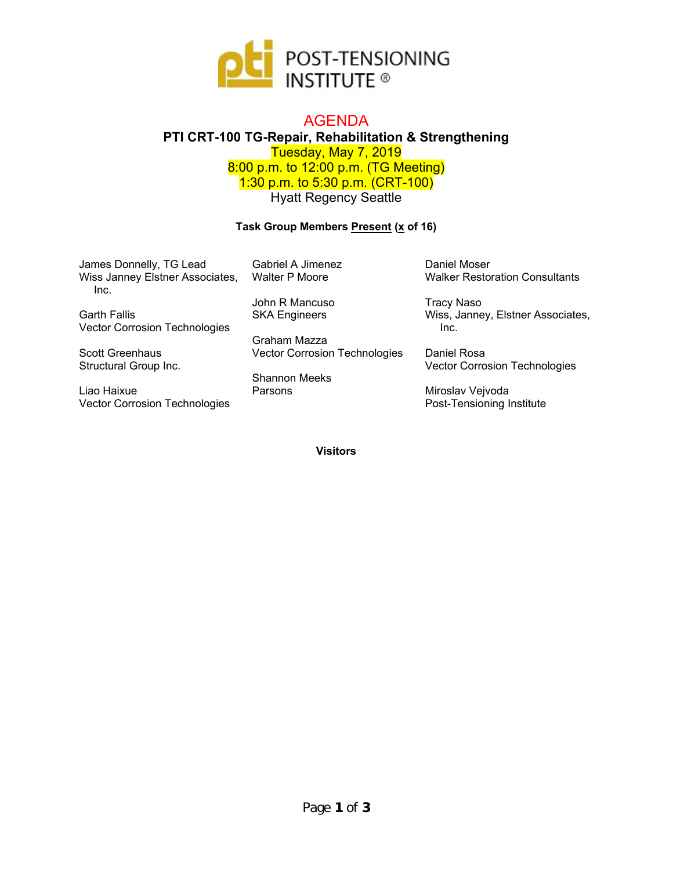

## AGENDA **PTI CRT-100 TG-Repair, Rehabilitation & Strengthening**  Tuesday, May 7, 2019 8:00 p.m. to 12:00 p.m. (TG Meeting) 1:30 p.m. to 5:30 p.m. (CRT-100) Hyatt Regency Seattle

## **Task Group Members Present (x of 16)**

| James Donnelly, TG Lead<br>Wiss Janney Elstner Associates,<br>Inc. | Gabriel A Jimenez<br><b>Walter P Moore</b> | Daniel Moser<br><b>Walker Restoration Consultants</b> |
|--------------------------------------------------------------------|--------------------------------------------|-------------------------------------------------------|
|                                                                    | John R Mancuso                             | Tracy Naso                                            |
| <b>Garth Fallis</b>                                                | <b>SKA Engineers</b>                       | Wiss, Janney, Elstner Associates,                     |
| <b>Vector Corrosion Technologies</b>                               |                                            | Inc.                                                  |
|                                                                    | Graham Mazza                               |                                                       |
| <b>Scott Greenhaus</b>                                             | Vector Corrosion Technologies              | Daniel Rosa                                           |
| Structural Group Inc.                                              |                                            | <b>Vector Corrosion Technologies</b>                  |
|                                                                    | <b>Shannon Meeks</b>                       |                                                       |

Liao Haixue Vector Corrosion Technologies

Shannon Meeks Parsons

**Visitors** 

Miroslav Vejvoda

Post-Tensioning Institute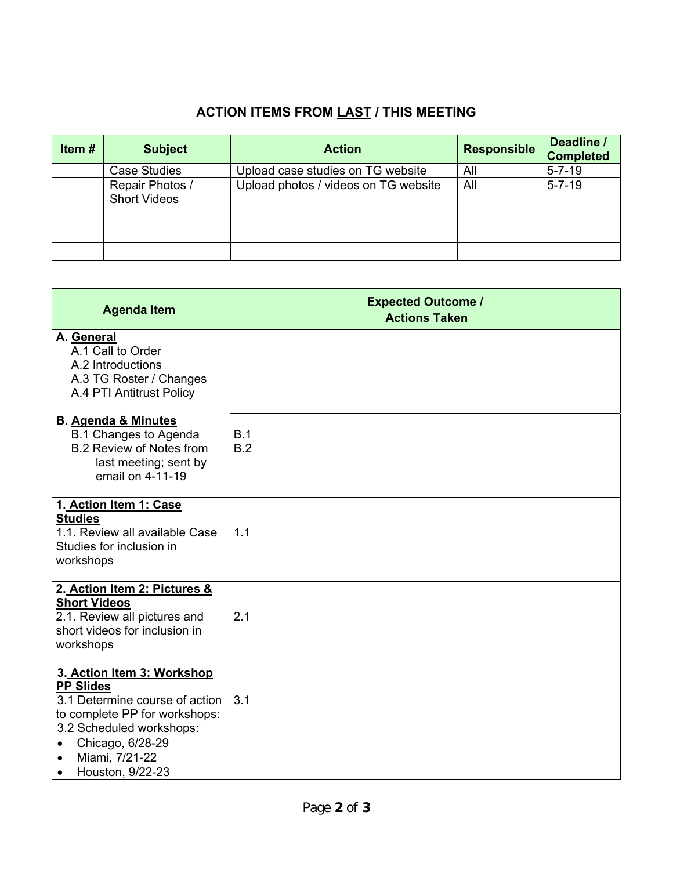## **ACTION ITEMS FROM LAST / THIS MEETING**

| Item# | <b>Subject</b>                         | <b>Action</b>                        | <b>Responsible</b> | Deadline /<br><b>Completed</b> |
|-------|----------------------------------------|--------------------------------------|--------------------|--------------------------------|
|       | <b>Case Studies</b>                    | Upload case studies on TG website    | All                | $5 - 7 - 19$                   |
|       | Repair Photos /<br><b>Short Videos</b> | Upload photos / videos on TG website | All                | $5 - 7 - 19$                   |
|       |                                        |                                      |                    |                                |
|       |                                        |                                      |                    |                                |
|       |                                        |                                      |                    |                                |

| <b>Agenda Item</b>                                                                                                                                                                                                                | <b>Expected Outcome /</b><br><b>Actions Taken</b> |
|-----------------------------------------------------------------------------------------------------------------------------------------------------------------------------------------------------------------------------------|---------------------------------------------------|
| A. General<br>A.1 Call to Order<br>A.2 Introductions<br>A.3 TG Roster / Changes<br>A.4 PTI Antitrust Policy                                                                                                                       |                                                   |
| <b>B. Agenda &amp; Minutes</b><br><b>B.1 Changes to Agenda</b><br><b>B.2 Review of Notes from</b><br>last meeting; sent by<br>email on 4-11-19                                                                                    | B.1<br>B.2                                        |
| 1. Action Item 1: Case<br><b>Studies</b><br>1.1. Review all available Case<br>Studies for inclusion in<br>workshops                                                                                                               | 1.1                                               |
| 2. Action Item 2: Pictures &<br><b>Short Videos</b><br>2.1. Review all pictures and<br>short videos for inclusion in<br>workshops                                                                                                 | 2.1                                               |
| 3. Action Item 3: Workshop<br><b>PP Slides</b><br>3.1 Determine course of action<br>to complete PP for workshops:<br>3.2 Scheduled workshops:<br>Chicago, 6/28-29<br>Miami, 7/21-22<br>$\bullet$<br>Houston, 9/22-23<br>$\bullet$ | 3.1                                               |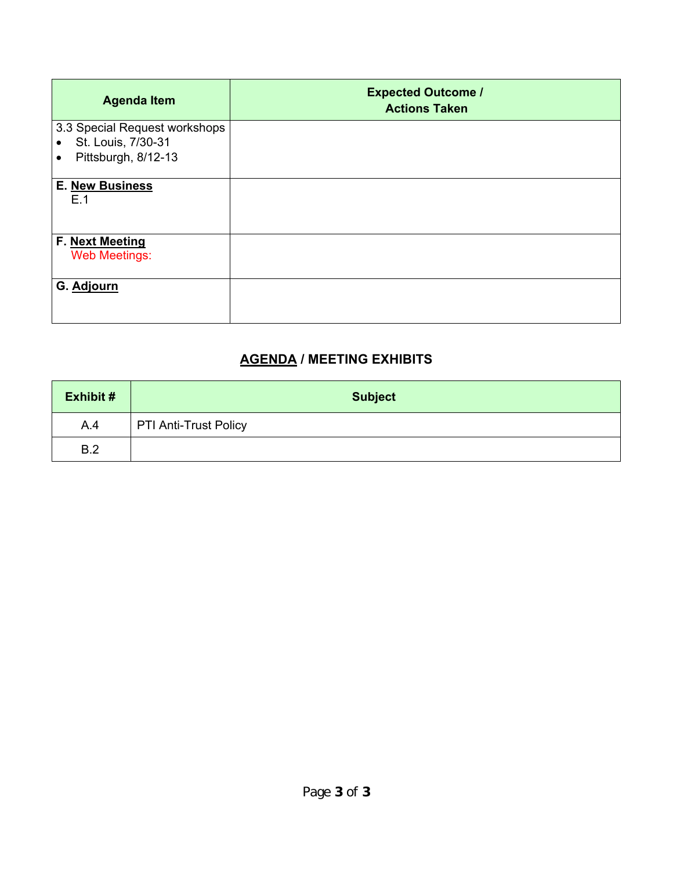| <b>Agenda Item</b>                                  | <b>Expected Outcome /</b><br><b>Actions Taken</b> |
|-----------------------------------------------------|---------------------------------------------------|
| 3.3 Special Request workshops<br>St. Louis, 7/30-31 |                                                   |
| Pittsburgh, 8/12-13<br>$\bullet$                    |                                                   |
| <b>E. New Business</b><br>E.1                       |                                                   |
| F. Next Meeting<br><b>Web Meetings:</b>             |                                                   |
| G. Adjourn                                          |                                                   |

## **AGENDA / MEETING EXHIBITS**

| <b>Exhibit #</b> | <b>Subject</b>               |
|------------------|------------------------------|
| A.4              | <b>PTI Anti-Trust Policy</b> |
| B.2              |                              |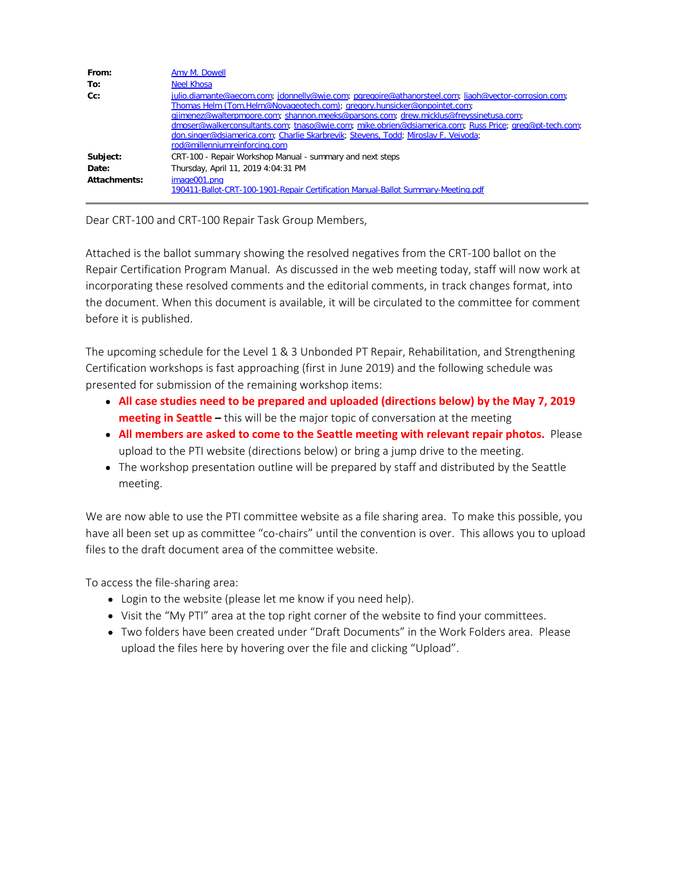| From:        | Amy M. Dowell                                                                                                                                                                                                                                                                                                                                                                                                                                                                                              |
|--------------|------------------------------------------------------------------------------------------------------------------------------------------------------------------------------------------------------------------------------------------------------------------------------------------------------------------------------------------------------------------------------------------------------------------------------------------------------------------------------------------------------------|
| To:          | <b>Neel Khosa</b>                                                                                                                                                                                                                                                                                                                                                                                                                                                                                          |
| $Cc$ :       | julio.diamante@aecom.com; jdonnelly@wje.com; pgregoire@athanorsteel.com; liaoh@vector-corrosion.com;<br>Thomas Helm (Tom.Helm@Novageotech.com); gregory.hunsicker@onpointet.com;<br>gjimenez@walterpmoore.com; shannon.meeks@parsons.com; drew.micklus@freyssinetusa.com;<br>dmoser@walkerconsultants.com; tnaso@wje.com; mike.obrien@dsiamerica.com; Russ Price; greg@pt-tech.com;<br>don.singer@dsiamerica.com; Charlie Skarbrevik; Stevens, Todd; Miroslav F. Vejvoda;<br>rod@millenniumreinforcing.com |
| Subject:     | CRT-100 - Repair Workshop Manual - summary and next steps                                                                                                                                                                                                                                                                                                                                                                                                                                                  |
| Date:        | Thursday, April 11, 2019 4:04:31 PM                                                                                                                                                                                                                                                                                                                                                                                                                                                                        |
| Attachments: | image001.png<br>190411-Ballot-CRT-100-1901-Repair Certification Manual-Ballot Summary-Meeting.pdf                                                                                                                                                                                                                                                                                                                                                                                                          |

Dear CRT-100 and CRT-100 Repair Task Group Members,

Attached is the ballot summary showing the resolved negatives from the CRT-100 ballot on the Repair Certification Program Manual. As discussed in the web meeting today, staff will now work at incorporating these resolved comments and the editorial comments, in track changes format, into the document. When this document is available, it will be circulated to the committee for comment before it is published.

The upcoming schedule for the Level 1 & 3 Unbonded PT Repair, Rehabilitation, and Strengthening Certification workshops is fast approaching (first in June 2019) and the following schedule was presented for submission of the remaining workshop items:

- **All case studies need to be prepared and uploaded (directions below) by the May 7, 2019 meeting in Seattle –** this will be the major topic of conversation at the meeting
- **All members are asked to come to the Seattle meeting with relevant repair photos.** Please upload to the PTI website (directions below) or bring a jump drive to the meeting.
- The workshop presentation outline will be prepared by staff and distributed by the Seattle meeting.

We are now able to use the PTI committee website as a file sharing area. To make this possible, you have all been set up as committee "co-chairs" until the convention is over. This allows you to upload files to the draft document area of the committee website.

To access the file-sharing area:

- Login to the website (please let me know if you need help).
- Visit the "My PTI" area at the top right corner of the website to find your committees.
- Two folders have been created under "Draft Documents" in the Work Folders area. Please upload the files here by hovering over the file and clicking "Upload".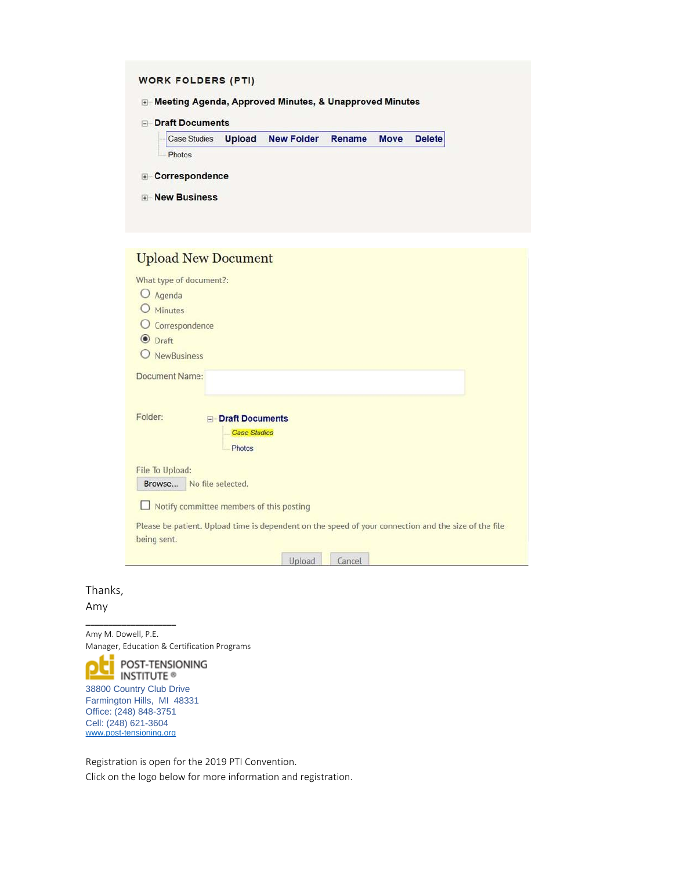|                     |               |                   |        | <b>Delete</b> |
|---------------------|---------------|-------------------|--------|---------------|
| <b>Case Studies</b> | <b>Upload</b> | <b>New Folder</b> | Rename | <b>Move</b>   |

| What type of document?: | <b>Upload New Document</b>                                                                           |
|-------------------------|------------------------------------------------------------------------------------------------------|
| O Agenda                |                                                                                                      |
| Minutes                 |                                                                                                      |
| Correspondence          |                                                                                                      |
| <b>O</b> Draft          |                                                                                                      |
| <b>NewBusiness</b>      |                                                                                                      |
| Document Name:          |                                                                                                      |
| Folder:                 | <b>E</b> Draft Documents                                                                             |
|                         | <b>Case Studies</b><br>Photos                                                                        |
| File To Upload:         |                                                                                                      |
| Browse                  | No file selected.                                                                                    |
|                         | $\Box$ Notify committee members of this posting                                                      |
| being sent.             | Please be patient. Upload time is dependent on the speed of your connection and the size of the file |
|                         | Upload<br>Cancel                                                                                     |

Thanks,

Amy

Amy M. Dowell, P.E. Manager, Education & Certification Programs



**\_\_\_\_\_\_\_\_\_\_\_\_\_\_\_\_\_\_\_\_**

Farmington Hills, MI 48331 Office: (248) 848-3751 Cell: (248) 621-3604 [www.post-tensioning.org](http://www.post-tensioning.org/)

Registration is open for the 2019 PTI Convention. Click on the logo below for more information and registration.